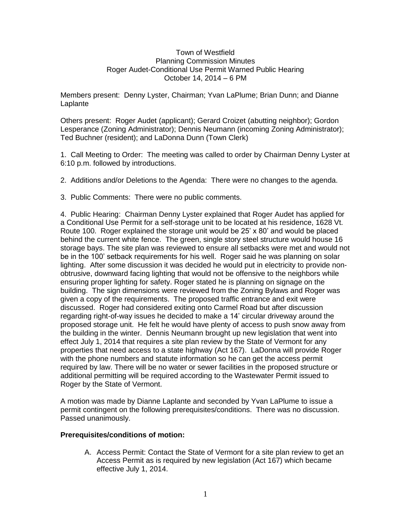## Town of Westfield Planning Commission Minutes Roger Audet-Conditional Use Permit Warned Public Hearing October 14, 2014 – 6 PM

Members present: Denny Lyster, Chairman; Yvan LaPlume; Brian Dunn; and Dianne **Laplante** 

Others present: Roger Audet (applicant); Gerard Croizet (abutting neighbor); Gordon Lesperance (Zoning Administrator); Dennis Neumann (incoming Zoning Administrator); Ted Buchner (resident); and LaDonna Dunn (Town Clerk)

1. Call Meeting to Order: The meeting was called to order by Chairman Denny Lyster at 6:10 p.m. followed by introductions.

2. Additions and/or Deletions to the Agenda: There were no changes to the agenda.

3. Public Comments: There were no public comments.

4. Public Hearing: Chairman Denny Lyster explained that Roger Audet has applied for a Conditional Use Permit for a self-storage unit to be located at his residence, 1628 Vt. Route 100. Roger explained the storage unit would be 25' x 80' and would be placed behind the current white fence. The green, single story steel structure would house 16 storage bays. The site plan was reviewed to ensure all setbacks were met and would not be in the 100' setback requirements for his well. Roger said he was planning on solar lighting. After some discussion it was decided he would put in electricity to provide nonobtrusive, downward facing lighting that would not be offensive to the neighbors while ensuring proper lighting for safety. Roger stated he is planning on signage on the building. The sign dimensions were reviewed from the Zoning Bylaws and Roger was given a copy of the requirements. The proposed traffic entrance and exit were discussed. Roger had considered exiting onto Carmel Road but after discussion regarding right-of-way issues he decided to make a 14' circular driveway around the proposed storage unit. He felt he would have plenty of access to push snow away from the building in the winter. Dennis Neumann brought up new legislation that went into effect July 1, 2014 that requires a site plan review by the State of Vermont for any properties that need access to a state highway (Act 167). LaDonna will provide Roger with the phone numbers and statute information so he can get the access permit required by law. There will be no water or sewer facilities in the proposed structure or additional permitting will be required according to the Wastewater Permit issued to Roger by the State of Vermont.

A motion was made by Dianne Laplante and seconded by Yvan LaPlume to issue a permit contingent on the following prerequisites/conditions. There was no discussion. Passed unanimously.

## **Prerequisites/conditions of motion:**

A. Access Permit: Contact the State of Vermont for a site plan review to get an Access Permit as is required by new legislation (Act 167) which became effective July 1, 2014.